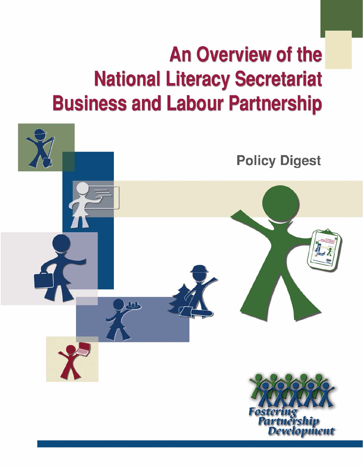# **An Overview of the National Literacy Secretariat Business and Labour Partnership**

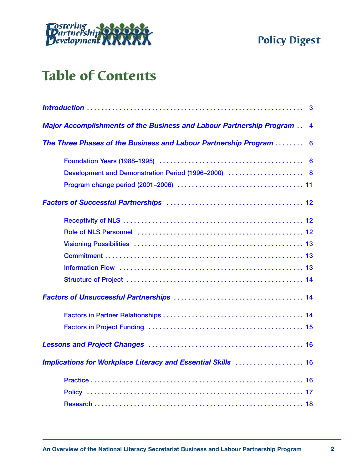

# Table of Contents

| $\mathbf{3}$                                                              |
|---------------------------------------------------------------------------|
| Major Accomplishments of the Business and Labour Partnership Program<br>4 |
| The Three Phases of the Business and Labour Partnership Program<br>6      |
|                                                                           |
| Development and Demonstration Period (1996–2000)  8                       |
|                                                                           |
|                                                                           |
|                                                                           |
|                                                                           |
|                                                                           |
|                                                                           |
|                                                                           |
|                                                                           |
|                                                                           |
|                                                                           |
|                                                                           |
|                                                                           |
| Implications for Workplace Literacy and Essential Skills  16              |
|                                                                           |
|                                                                           |
|                                                                           |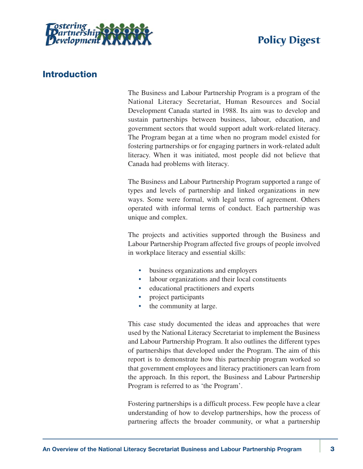<span id="page-2-0"></span>

# **Introduction**

The Business and Labour Partnership Program is a program of the National Literacy Secretariat, Human Resources and Social Development Canada started in 1988. Its aim was to develop and sustain partnerships between business, labour, education, and government sectors that would support adult work-related literacy. The Program began at a time when no program model existed for fostering partnerships or for engaging partners in work-related adult literacy. When it was initiated, most people did not believe that Canada had problems with literacy.

The Business and Labour Partnership Program supported a range of types and levels of partnership and linked organizations in new ways. Some were formal, with legal terms of agreement. Others operated with informal terms of conduct. Each partnership was unique and complex.

The projects and activities supported through the Business and Labour Partnership Program affected five groups of people involved in workplace literacy and essential skills:

- business organizations and employers
- labour organizations and their local constituents
- educational practitioners and experts
- project participants
- the community at large.

This case study documented the ideas and approaches that were used by the National Literacy Secretariat to implement the Business and Labour Partnership Program. It also outlines the different types of partnerships that developed under the Program. The aim of this report is to demonstrate how this partnership program worked so that government employees and literacy practitioners can learn from the approach. In this report, the Business and Labour Partnership Program is referred to as 'the Program'.

Fostering partnerships is a difficult process. Few people have a clear understanding of how to develop partnerships, how the process of partnering affects the broader community, or what a partnership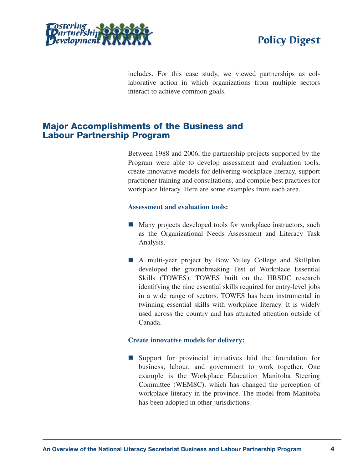<span id="page-3-0"></span>



includes. For this case study, we viewed partnerships as collaborative action in which organizations from multiple sectors interact to achieve common goals.

# **Major Accomplishments of the Business and Labour Partnership Program**

Between 1988 and 2006, the partnership projects supported by the Program were able to develop assessment and evaluation tools, create innovative models for delivering workplace literacy, support practioner training and consultations, and compile best practices for workplace literacy. Here are some examples from each area.

#### **Assessment and evaluation tools:**

- $\blacksquare$  Many projects developed tools for workplace instructors, such as the Organizational Needs Assessment and Literacy Task Analysis.
- A multi-year project by Bow Valley College and Skillplan developed the groundbreaking Test of Workplace Essential Skills (TOWES). TOWES built on the HRSDC research identifying the nine essential skills required for entry-level jobs in a wide range of sectors. TOWES has been instrumental in twinning essential skills with workplace literacy. It is widely used across the country and has attracted attention outside of Canada.

#### **Create innovative models for delivery:**

 $\blacksquare$  Support for provincial initiatives laid the foundation for business, labour, and government to work together. One example is the Workplace Education Manitoba Steering Committee (WEMSC), which has changed the perception of workplace literacy in the province. The model from Manitoba has been adopted in other jurisdictions.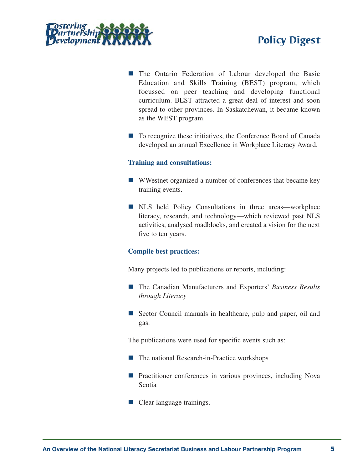



- The Ontario Federation of Labour developed the Basic Education and Skills Training (BEST) program, which focussed on peer teaching and developing functional curriculum. BEST attracted a great deal of interest and soon spread to other provinces. In Saskatchewan, it became known as the WEST program.
- To recognize these initiatives, the Conference Board of Canada developed an annual Excellence in Workplace Literacy Award.

#### **Training and consultations:**

- $\blacksquare$  WWestnet organized a number of conferences that became key training events.
- NLS held Policy Consultations in three areas—workplace literacy, research, and technology—which reviewed past NLS activities, analysed roadblocks, and created a vision for the next five to ten years.

#### **Compile best practices:**

Many projects led to publications or reports, including:

- The Canadian Manufacturers and Exporters' *Business Results through Literacy*
- Sector Council manuals in healthcare, pulp and paper, oil and gas.

The publications were used for specific events such as:

- $\blacksquare$  The national Research-in-Practice workshops
- Practitioner conferences in various provinces, including Nova Scotia
- $\blacksquare$  Clear language trainings.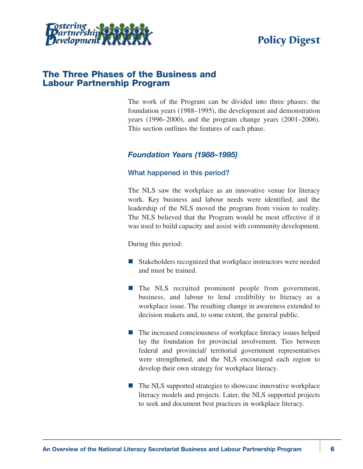<span id="page-5-0"></span>

### **The Three Phases of the Business and Labour Partnership Program**

The work of the Program can be divided into three phases: the foundation years (1988–1995), the development and demonstration years (1996–2000), and the program change years (2001–2006). This section outlines the features of each phase.

#### *Foundation Years (1988–1995)*

#### **What happened in this period?**

The NLS saw the workplace as an innovative venue for literacy work. Key business and labour needs were identified, and the leadership of the NLS moved the program from vision to reality. The NLS believed that the Program would be most effective if it was used to build capacity and assist with community development.

During this period:

- $\blacksquare$  Stakeholders recognized that workplace instructors were needed and must be trained.
- $\blacksquare$  The NLS recruited prominent people from government, business, and labour to lend credibility to literacy as a workplace issue. The resulting change in awareness extended to decision makers and, to some extent, the general public.
- $\blacksquare$  The increased consciousness of workplace literacy issues helped lay the foundation for provincial involvement. Ties between federal and provincial/ territorial government representatives were strengthened, and the NLS encouraged each region to develop their own strategy for workplace literacy.
- $\blacksquare$  The NLS supported strategies to showcase innovative workplace literacy models and projects. Later, the NLS supported projects to seek and document best practices in workplace literacy.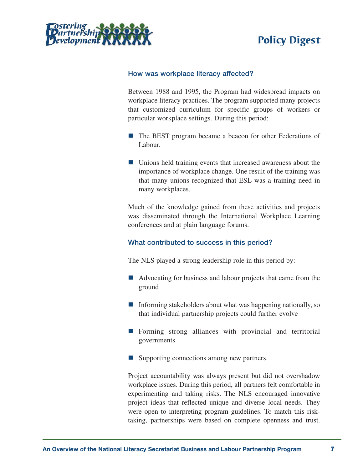

#### **How was workplace literacy affected?**

Between 1988 and 1995, the Program had widespread impacts on workplace literacy practices. The program supported many projects that customized curriculum for specific groups of workers or particular workplace settings. During this period:

- $\blacksquare$  The BEST program became a beacon for other Federations of Labour.
- Unions held training events that increased awareness about the importance of workplace change. One result of the training was that many unions recognized that ESL was a training need in many workplaces.

Much of the knowledge gained from these activities and projects was disseminated through the International Workplace Learning conferences and at plain language forums.

#### **What contributed to success in this period?**

The NLS played a strong leadership role in this period by:

- $\blacksquare$  Advocating for business and labour projects that came from the ground
- $\blacksquare$  Informing stakeholders about what was happening nationally, so that individual partnership projects could further evolve
- $\blacksquare$  Forming strong alliances with provincial and territorial governments
- Supporting connections among new partners.

Project accountability was always present but did not overshadow workplace issues. During this period, all partners felt comfortable in experimenting and taking risks. The NLS encouraged innovative project ideas that reflected unique and diverse local needs. They were open to interpreting program guidelines. To match this risktaking, partnerships were based on complete openness and trust.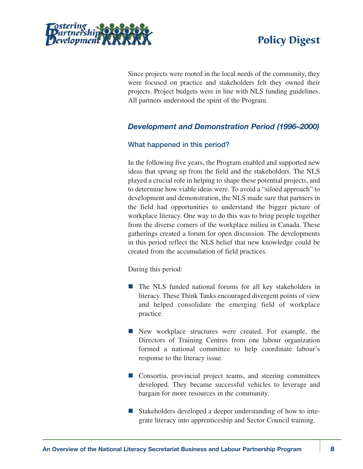<span id="page-7-0"></span>



Since projects were rooted in the local needs of the community, they were focused on practice and stakeholders felt they owned their projects. Project budgets were in line with NLS funding guidelines. All partners understood the spirit of the Program.

### *Development and Demonstration Period (1996–2000)*

#### **What happened in this period?**

In the following five years, the Program enabled and supported new ideas that sprung up from the field and the stakeholders. The NLS played a crucial role in helping to shape these potential projects, and to determine how viable ideas were. To avoid a "siloed approach" to development and demonstration, the NLS made sure that partners in the field had opportunities to understand the bigger picture of workplace literacy. One way to do this was to bring people together from the diverse corners of the workplace milieu in Canada. These gatherings created a forum for open discussion. The developments in this period reflect the NLS belief that new knowledge could be created from the accumulation of field practices.

During this period:

- $\blacksquare$  The NLS funded national forums for all key stakeholders in literacy. These Think Tanks encouraged divergent points of view and helped consolidate the emerging field of workplace practice.
- $\blacksquare$  New workplace structures were created. For example, the Directors of Training Centres from one labour organization formed a national committee to help coordinate labour's response to the literacy issue.
- $\blacksquare$  Consortia, provincial project teams, and steering committees developed. They became successful vehicles to leverage and bargain for more resources in the community.
- Stakeholders developed a deeper understanding of how to integrate literacy into apprenticeship and Sector Council training.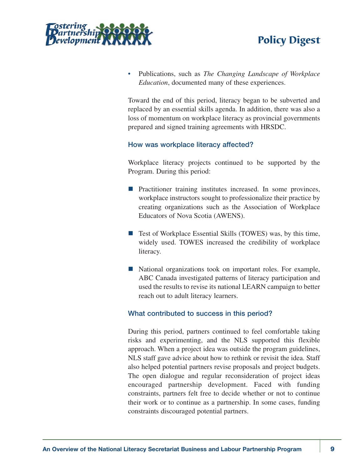



• Publications, such as *The Changing Landscape of Workplace Education*, documented many of these experiences.

Toward the end of this period, literacy began to be subverted and replaced by an essential skills agenda. In addition, there was also a loss of momentum on workplace literacy as provincial governments prepared and signed training agreements with HRSDC.

#### **How was workplace literacy affected?**

Workplace literacy projects continued to be supported by the Program. During this period:

- $\blacksquare$  Practitioner training institutes increased. In some provinces, workplace instructors sought to professionalize their practice by creating organizations such as the Association of Workplace Educators of Nova Scotia (AWENS).
- $\blacksquare$  Test of Workplace Essential Skills (TOWES) was, by this time, widely used. TOWES increased the credibility of workplace literacy.
- National organizations took on important roles. For example, ABC Canada investigated patterns of literacy participation and used the results to revise its national LEARN campaign to better reach out to adult literacy learners.

#### **What contributed to success in this period?**

During this period, partners continued to feel comfortable taking risks and experimenting, and the NLS supported this flexible approach. When a project idea was outside the program guidelines, NLS staff gave advice about how to rethink or revisit the idea. Staff also helped potential partners revise proposals and project budgets. The open dialogue and regular reconsideration of project ideas encouraged partnership development. Faced with funding constraints, partners felt free to decide whether or not to continue their work or to continue as a partnership. In some cases, funding constraints discouraged potential partners.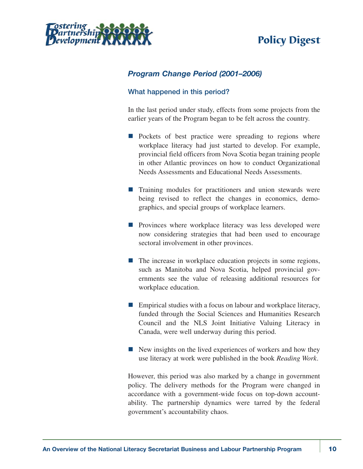<span id="page-9-0"></span>

# *Program Change Period (2001–2006)*

#### **What happened in this period?**

In the last period under study, effects from some projects from the earlier years of the Program began to be felt across the country.

- $\blacksquare$  Pockets of best practice were spreading to regions where workplace literacy had just started to develop. For example, provincial field officers from Nova Scotia began training people in other Atlantic provinces on how to conduct Organizational Needs Assessments and Educational Needs Assessments.
- $\blacksquare$  Training modules for practitioners and union stewards were being revised to reflect the changes in economics, demographics, and special groups of workplace learners.
- $\blacksquare$  Provinces where workplace literacy was less developed were now considering strategies that had been used to encourage sectoral involvement in other provinces.
- $\blacksquare$  The increase in workplace education projects in some regions, such as Manitoba and Nova Scotia, helped provincial governments see the value of releasing additional resources for workplace education.
- $\blacksquare$  Empirical studies with a focus on labour and workplace literacy, funded through the Social Sciences and Humanities Research Council and the NLS Joint Initiative Valuing Literacy in Canada, were well underway during this period.
- $\blacksquare$  New insights on the lived experiences of workers and how they use literacy at work were published in the book *Reading Work*.

However, this period was also marked by a change in government policy. The delivery methods for the Program were changed in accordance with a government-wide focus on top-down accountability. The partnership dynamics were tarred by the federal government's accountability chaos.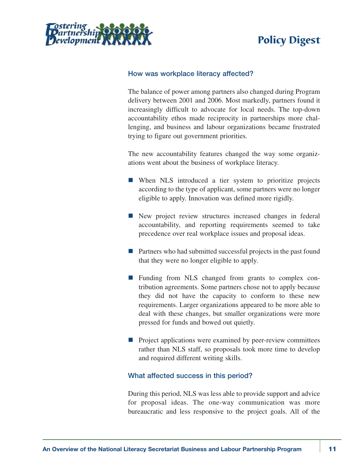



#### **How was workplace literacy affected?**

The balance of power among partners also changed during Program delivery between 2001 and 2006. Most markedly, partners found it increasingly difficult to advocate for local needs. The top-down accountability ethos made reciprocity in partnerships more challenging, and business and labour organizations became frustrated trying to figure out government priorities.

The new accountability features changed the way some organizations went about the business of workplace literacy.

- $\blacksquare$  When NLS introduced a tier system to prioritize projects according to the type of applicant, some partners were no longer eligible to apply. Innovation was defined more rigidly.
- $\blacksquare$  New project review structures increased changes in federal accountability, and reporting requirements seemed to take precedence over real workplace issues and proposal ideas.
- $\blacksquare$  Partners who had submitted successful projects in the past found that they were no longer eligible to apply.
- $\blacksquare$  Funding from NLS changed from grants to complex contribution agreements. Some partners chose not to apply because they did not have the capacity to conform to these new requirements. Larger organizations appeared to be more able to deal with these changes, but smaller organizations were more pressed for funds and bowed out quietly.
- $\blacksquare$  Project applications were examined by peer-review committees rather than NLS staff, so proposals took more time to develop and required different writing skills.

#### **What affected success in this period?**

During this period, NLS was less able to provide support and advice for proposal ideas. The one-way communication was more bureaucratic and less responsive to the project goals. All of the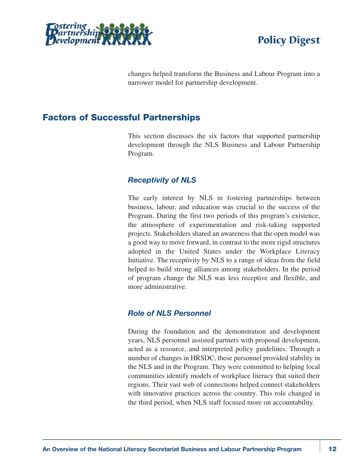<span id="page-11-0"></span>



changes helped transform the Business and Labour Program into a narrower model for partnership development.

# **Factors of Successful Partnerships**

This section discusses the six factors that supported partnership development through the NLS Business and Labour Partnership Program.

#### *Receptivity of NLS*

The early interest by NLS in fostering partnerships between business, labour, and education was crucial to the success of the Program. During the first two periods of this program's existence, the atmosphere of experimentation and risk-taking supported projects. Stakeholders shared an awareness that the open model was a good way to move forward, in contrast to the more rigid structures adopted in the United States under the Workplace Literacy Initiative. The receptivity by NLS to a range of ideas from the field helped to build strong alliances among stakeholders. In the period of program change the NLS was less receptive and flexible, and more administrative.

#### *Role of NLS Personnel*

During the foundation and the demonstration and development years, NLS personnel assisted partners with proposal development, acted as a resource, and interpreted policy guidelines. Through a number of changes in HRSDC, these personnel provided stability in the NLS and in the Program. They were committed to helping local communities identify models of workplace literacy that suited their regions. Their vast web of connections helped connect stakeholders with innovative practices across the country. This role changed in the third period, when NLS staff focused more on accountability.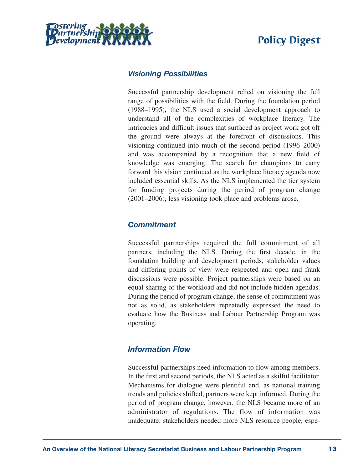<span id="page-12-0"></span>

### *Visioning Possibilities*

Successful partnership development relied on visioning the full range of possibilities with the field. During the foundation period (1988–1995), the NLS used a social development approach to understand all of the complexities of workplace literacy. The intricacies and difficult issues that surfaced as project work got off the ground were always at the forefront of discussions. This visioning continued into much of the second period (1996–2000) and was accompanied by a recognition that a new field of knowledge was emerging. The search for champions to carry forward this vision continued as the workplace literacy agenda now included essential skills. As the NLS implemented the tier system for funding projects during the period of program change (2001–2006), less visioning took place and problems arose.

### *Commitment*

Successful partnerships required the full commitment of all partners, including the NLS. During the first decade, in the foundation building and development periods, stakeholder values and differing points of view were respected and open and frank discussions were possible. Project partnerships were based on an equal sharing of the workload and did not include hidden agendas. During the period of program change, the sense of commitment was not as solid, as stakeholders repeatedly expressed the need to evaluate how the Business and Labour Partnership Program was operating.

### *Information Flow*

Successful partnerships need information to flow among members. In the first and second periods, the NLS acted as a skilful facilitator. Mechanisms for dialogue were plentiful and, as national training trends and policies shifted, partners were kept informed. During the period of program change, however, the NLS became more of an administrator of regulations. The flow of information was inadequate: stakeholders needed more NLS resource people, espe-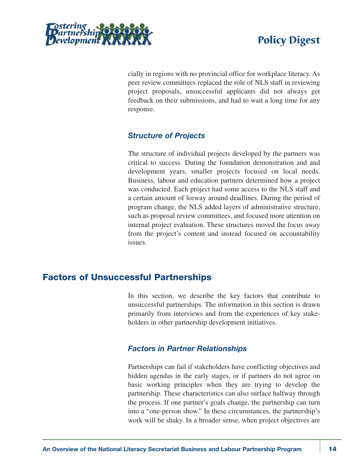<span id="page-13-0"></span>



cially in regions with no provincial office for workplace literacy. As peer review committees replaced the role of NLS staff in reviewing project proposals, unsuccessful applicants did not always get feedback on their submissions, and had to wait a long time for any response.

### *Structure of Projects*

The structure of individual projects developed by the partners was critical to success. During the foundation demonstration and and development years, smaller projects focused on local needs. Business, labour and education partners determined how a project was conducted. Each project had some access to the NLS staff and a certain amount of leeway around deadlines. During the period of program change, the NLS added layers of administrative structure, such as proposal review committees, and focused more attention on internal project evaluation. These structures moved the focus away from the project's content and instead focused on accountability issues.

# **Factors of Unsuccessful Partnerships**

In this section, we describe the key factors that contribute to unsuccessful partnerships. The information in this section is drawn primarily from interviews and from the experiences of key stakeholders in other partnership development initiatives.

### *Factors in Partner Relationships*

Partnerships can fail if stakeholders have conflicting objectives and hidden agendas in the early stages, or if partners do not agree on basic working principles when they are trying to develop the partnership. These characteristics can also surface halfway through the process. If one partner's goals change, the partnership can turn into a "one-person show." In these circumstances, the partnership's work will be shaky. In a broader sense, when project objectives are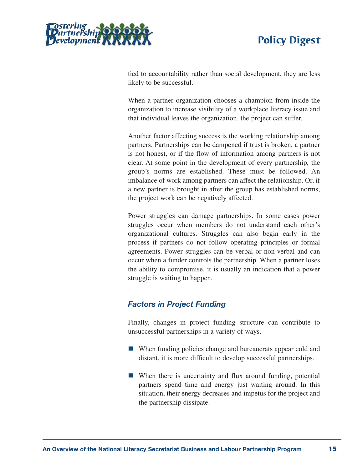<span id="page-14-0"></span>

tied to accountability rather than social development, they are less likely to be successful.

When a partner organization chooses a champion from inside the organization to increase visibility of a workplace literacy issue and that individual leaves the organization, the project can suffer.

Another factor affecting success is the working relationship among partners. Partnerships can be dampened if trust is broken, a partner is not honest, or if the flow of information among partners is not clear. At some point in the development of every partnership, the group's norms are established. These must be followed. An imbalance of work among partners can affect the relationship. Or, if a new partner is brought in after the group has established norms, the project work can be negatively affected.

Power struggles can damage partnerships. In some cases power struggles occur when members do not understand each other's organizational cultures. Struggles can also begin early in the process if partners do not follow operating principles or formal agreements. Power struggles can be verbal or non-verbal and can occur when a funder controls the partnership. When a partner loses the ability to compromise, it is usually an indication that a power struggle is waiting to happen.

# *Factors in Project Funding*

Finally, changes in project funding structure can contribute to unsuccessful partnerships in a variety of ways.

- $\blacksquare$  When funding policies change and bureaucrats appear cold and distant, it is more difficult to develop successful partnerships.
- $\blacksquare$  When there is uncertainty and flux around funding, potential partners spend time and energy just waiting around. In this situation, their energy decreases and impetus for the project and the partnership dissipate.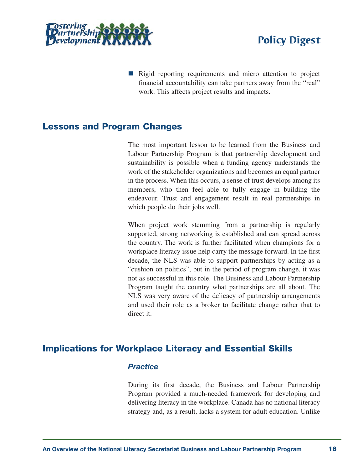<span id="page-15-0"></span>



■ Rigid reporting requirements and micro attention to project financial accountability can take partners away from the "real" work. This affects project results and impacts.

# **Lessons and Program Changes**

The most important lesson to be learned from the Business and Labour Partnership Program is that partnership development and sustainability is possible when a funding agency understands the work of the stakeholder organizations and becomes an equal partner in the process. When this occurs, a sense of trust develops among its members, who then feel able to fully engage in building the endeavour. Trust and engagement result in real partnerships in which people do their jobs well.

When project work stemming from a partnership is regularly supported, strong networking is established and can spread across the country. The work is further facilitated when champions for a workplace literacy issue help carry the message forward. In the first decade, the NLS was able to support partnerships by acting as a "cushion on politics", but in the period of program change, it was not as successful in this role. The Business and Labour Partnership Program taught the country what partnerships are all about. The NLS was very aware of the delicacy of partnership arrangements and used their role as a broker to facilitate change rather that to direct it.

# **Implications for Workplace Literacy and Essential Skills**

#### *Practice*

During its first decade, the Business and Labour Partnership Program provided a much-needed framework for developing and delivering literacy in the workplace. Canada has no national literacy strategy and, as a result, lacks a system for adult education. Unlike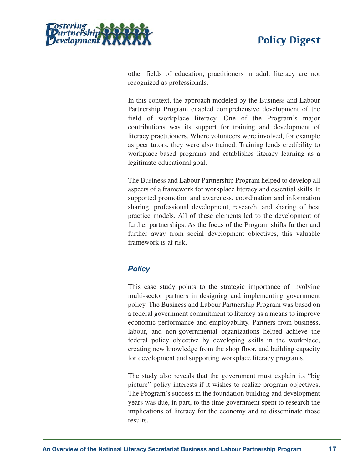

<span id="page-16-0"></span>

other fields of education, practitioners in adult literacy are not recognized as professionals.

In this context, the approach modeled by the Business and Labour Partnership Program enabled comprehensive development of the field of workplace literacy. One of the Program's major contributions was its support for training and development of literacy practitioners. Where volunteers were involved, for example as peer tutors, they were also trained. Training lends credibility to workplace-based programs and establishes literacy learning as a legitimate educational goal.

The Business and Labour Partnership Program helped to develop all aspects of a framework for workplace literacy and essential skills. It supported promotion and awareness, coordination and information sharing, professional development, research, and sharing of best practice models. All of these elements led to the development of further partnerships. As the focus of the Program shifts further and further away from social development objectives, this valuable framework is at risk.

### *Policy*

This case study points to the strategic importance of involving multi-sector partners in designing and implementing government policy. The Business and Labour Partnership Program was based on a federal government commitment to literacy as a means to improve economic performance and employability. Partners from business, labour, and non-governmental organizations helped achieve the federal policy objective by developing skills in the workplace, creating new knowledge from the shop floor, and building capacity for development and supporting workplace literacy programs.

The study also reveals that the government must explain its "big picture" policy interests if it wishes to realize program objectives. The Program's success in the foundation building and development years was due, in part, to the time government spent to research the implications of literacy for the economy and to disseminate those results.